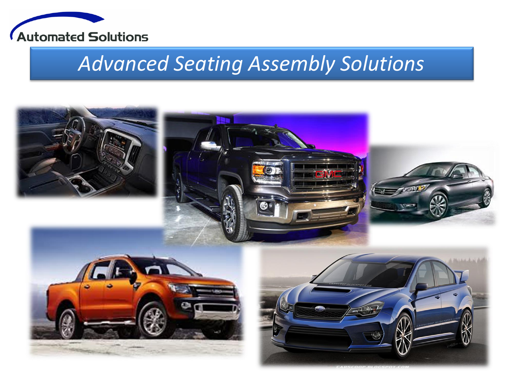

# *Advanced Seating Assembly Solutions*

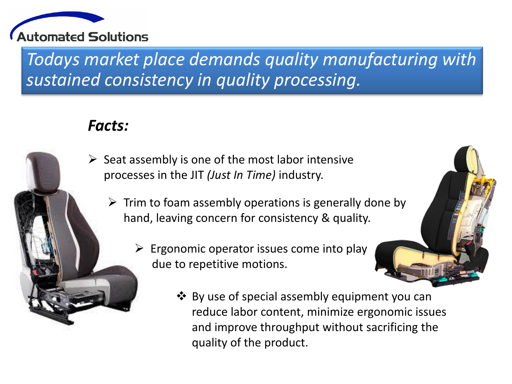

*Todays market place demands quality manufacturing with sustained consistency in quality processing.*

## *Facts:*

- $\triangleright$  Seat assembly is one of the most labor intensive processes in the JIT *(Just In Time)* industry.
	- $\triangleright$  Trim to foam assembly operations is generally done by hand, leaving concern for consistency & quality.
		- $\triangleright$  Ergonomic operator issues come into play due to repetitive motions.
			- By use of special assembly equipment you can reduce labor content, minimize ergonomic issues and improve throughput without sacrificing the quality of the product.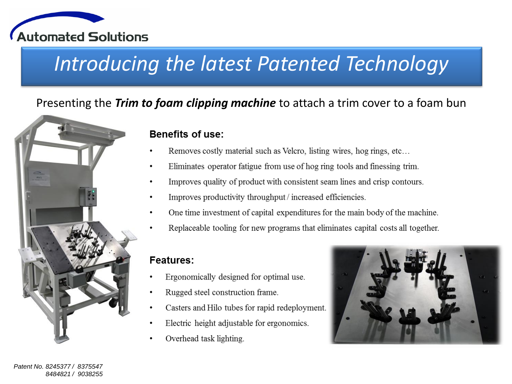

# Introducing the latest Patented Technology

### Presenting the Trim to foam clipping machine to attach a trim cover to a foam bun



### **Benefits of use:**

- Removes costly material such as Velcro, listing wires, hog rings, etc...
- Eliminates operator fatigue from use of hog ring tools and finessing trim.
- Improves quality of product with consistent seam lines and crisp contours.
- Improves productivity throughput / increased efficiencies.
- One time investment of capital expenditures for the main body of the machine.
- Replaceable tooling for new programs that eliminates capital costs all together.

### **Features:**

- Ergonomically designed for optimal use.
- Rugged steel construction frame.
- Casters and Hilo tubes for rapid redeployment.
- Electric height adjustable for ergonomics.
- Overhead task lighting.

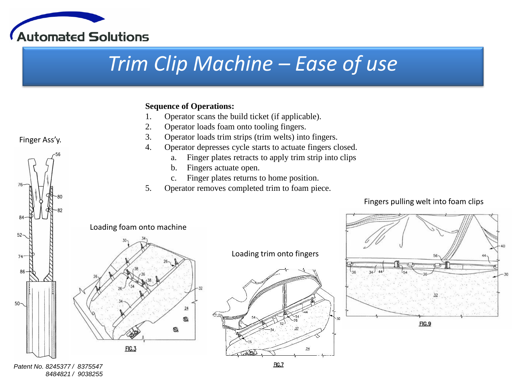

# *Trim Clip Machine – Ease of use*

#### **Sequence of Operations:**

- 1. Operator scans the build ticket (if applicable).
- 2. Operator loads foam onto tooling fingers.
- 3. Operator loads trim strips (trim welts) into fingers.
- 4. Operator depresses cycle starts to actuate fingers closed.
	- a. Finger plates retracts to apply trim strip into clips
	- b. Fingers actuate open.
	- c. Finger plates returns to home position.
- 5. Operator removes completed trim to foam piece.

#### Fingers pulling welt into foam clips



#### *Patent No. 8245377 / 8375547 8484821 / 9038255*

### Finger Ass'y.

52

 $74<sup>°</sup>$